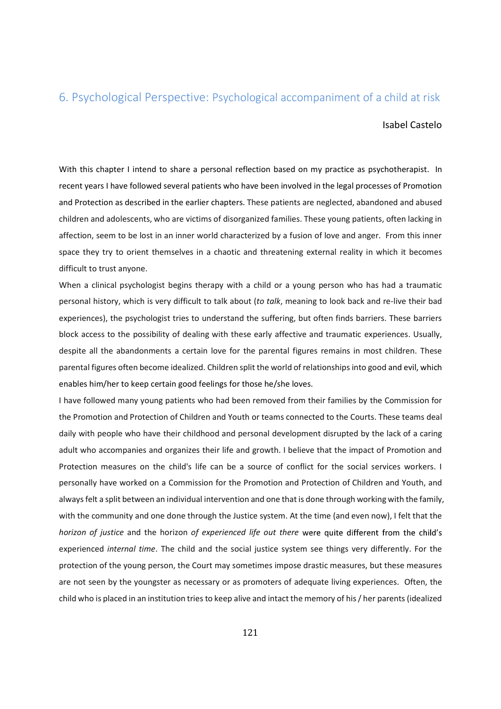## 6. Psychological Perspective: Psychological accompaniment of a child at risk

## Isabel Castelo

With this chapter I intend to share a personal reflection based on my practice as psychotherapist. In recent years I have followed several patients who have been involved in the legal processes of Promotion and Protection as described in the earlier chapters. These patients are neglected, abandoned and abused children and adolescents, who are victims of disorganized families. These young patients, often lacking in affection, seem to be lost in an inner world characterized by a fusion of love and anger. From this inner space they try to orient themselves in a chaotic and threatening external reality in which it becomes difficult to trust anyone.

When a clinical psychologist begins therapy with a child or a young person who has had a traumatic personal history, which is very difficult to talk about (to talk, meaning to look back and re-live their bad experiences), the psychologist tries to understand the suffering, but often finds barriers. These barriers block access to the possibility of dealing with these early affective and traumatic experiences. Usually, despite all the abandonments a certain love for the parental figures remains in most children. These parental figures often become idealized. Children split the world of relationships into good and evil, which enables him/her to keep certain good feelings for those he/she loves.

I have followed many young patients who had been removed from their families by the Commission for the Promotion and Protection of Children and Youth or teams connected to the Courts. These teams deal daily with people who have their childhood and personal development disrupted by the lack of a caring adult who accompanies and organizes their life and growth. I believe that the impact of Promotion and Protection measures on the child's life can be a source of conflict for the social services workers. I personally have worked on a Commission for the Promotion and Protection of Children and Youth, and always felt a split between an individual intervention and one that is done through working with the family, with the community and one done through the Justice system. At the time (and even now), I felt that the horizon of justice and the horizon of experienced life out there were quite different from the child's experienced internal time. The child and the social justice system see things very differently. For the protection of the young person, the Court may sometimes impose drastic measures, but these measures are not seen by the youngster as necessary or as promoters of adequate living experiences. Often, the child who is placed in an institution tries to keep alive and intact the memory of his / her parents (idealized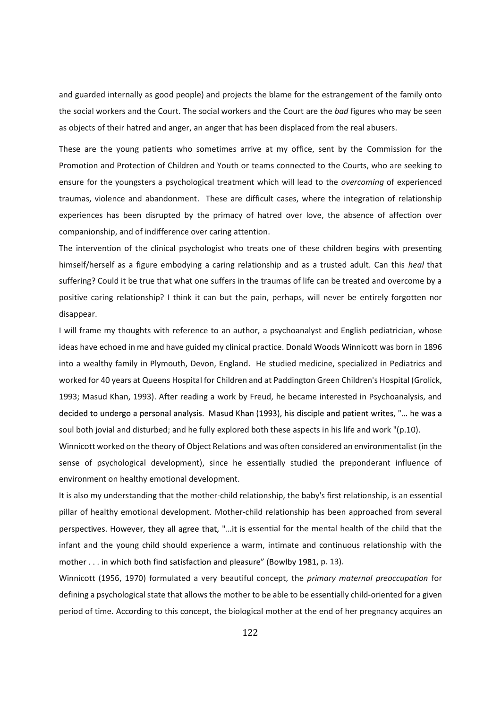and guarded internally as good people) and projects the blame for the estrangement of the family onto the social workers and the Court. The social workers and the Court are the bad figures who may be seen as objects of their hatred and anger, an anger that has been displaced from the real abusers.

These are the young patients who sometimes arrive at my office, sent by the Commission for the Promotion and Protection of Children and Youth or teams connected to the Courts, who are seeking to ensure for the youngsters a psychological treatment which will lead to the overcoming of experienced traumas, violence and abandonment. These are difficult cases, where the integration of relationship experiences has been disrupted by the primacy of hatred over love, the absence of affection over companionship, and of indifference over caring attention.

The intervention of the clinical psychologist who treats one of these children begins with presenting himself/herself as a figure embodying a caring relationship and as a trusted adult. Can this heal that suffering? Could it be true that what one suffers in the traumas of life can be treated and overcome by a positive caring relationship? I think it can but the pain, perhaps, will never be entirely forgotten nor disappear.

I will frame my thoughts with reference to an author, a psychoanalyst and English pediatrician, whose ideas have echoed in me and have guided my clinical practice. Donald Woods Winnicott was born in 1896 into a wealthy family in Plymouth, Devon, England. He studied medicine, specialized in Pediatrics and worked for 40 years at Queens Hospital for Children and at Paddington Green Children's Hospital (Grolick, 1993; Masud Khan, 1993). After reading a work by Freud, he became interested in Psychoanalysis, and decided to undergo a personal analysis. Masud Khan (1993), his disciple and patient writes, "... he was a soul both jovial and disturbed; and he fully explored both these aspects in his life and work "(p.10).

Winnicott worked on the theory of Object Relations and was often considered an environmentalist (in the sense of psychological development), since he essentially studied the preponderant influence of environment on healthy emotional development.

It is also my understanding that the mother-child relationship, the baby's first relationship, is an essential pillar of healthy emotional development. Mother-child relationship has been approached from several perspectives. However, they all agree that, "...it is essential for the mental health of the child that the infant and the young child should experience a warm, intimate and continuous relationship with the mother . . . in which both find satisfaction and pleasure" (Bowlby 1981, p. 13).

Winnicott (1956, 1970) formulated a very beautiful concept, the primary maternal preoccupation for defining a psychological state that allows the mother to be able to be essentially child-oriented for a given period of time. According to this concept, the biological mother at the end of her pregnancy acquires an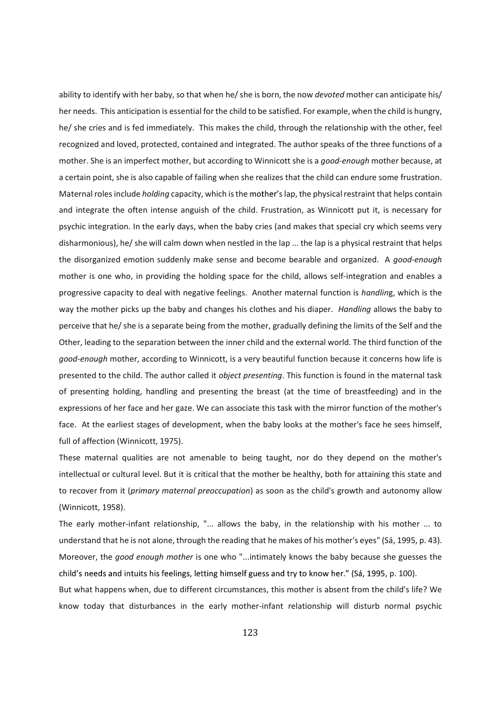ability to identify with her baby, so that when he/ she is born, the now *devoted* mother can anticipate his/ her needs. This anticipation is essential for the child to be satisfied. For example, when the child is hungry, he/ she cries and is fed immediately. This makes the child, through the relationship with the other, feel recognized and loved, protected, contained and integrated. The author speaks of the three functions of a mother. She is an imperfect mother, but according to Winnicott she is a good-enough mother because, at a certain point, she is also capable of failing when she realizes that the child can endure some frustration. Maternal roles include *holding* capacity, which is the mother's lap, the physical restraint that helps contain and integrate the often intense anguish of the child. Frustration, as Winnicott put it, is necessary for psychic integration. In the early days, when the baby cries (and makes that special cry which seems very disharmonious), he/ she will calm down when nestled in the lap ... the lap is a physical restraint that helps the disorganized emotion suddenly make sense and become bearable and organized. A good-enough mother is one who, in providing the holding space for the child, allows self-integration and enables a progressive capacity to deal with negative feelings. Another maternal function is handling, which is the way the mother picks up the baby and changes his clothes and his diaper. Handling allows the baby to perceive that he/ she is a separate being from the mother, gradually defining the limits of the Self and the Other, leading to the separation between the inner child and the external world. The third function of the good-enough mother, according to Winnicott, is a very beautiful function because it concerns how life is presented to the child. The author called it *object presenting*. This function is found in the maternal task of presenting holding, handling and presenting the breast (at the time of breastfeeding) and in the expressions of her face and her gaze. We can associate this task with the mirror function of the mother's face. At the earliest stages of development, when the baby looks at the mother's face he sees himself, full of affection (Winnicott, 1975).

These maternal qualities are not amenable to being taught, nor do they depend on the mother's intellectual or cultural level. But it is critical that the mother be healthy, both for attaining this state and to recover from it (primary maternal preoccupation) as soon as the child's growth and autonomy allow (Winnicott, 1958).

The early mother-infant relationship, "... allows the baby, in the relationship with his mother ... to understand that he is not alone, through the reading that he makes of his mother's eyes" (Sá, 1995, p. 43). Moreover, the good enough mother is one who "...intimately knows the baby because she guesses the child's needs and intuits his feelings, letting himself guess and try to know her." (Sá, 1995, p. 100).

But what happens when, due to different circumstances, this mother is absent from the child's life? We know today that disturbances in the early mother-infant relationship will disturb normal psychic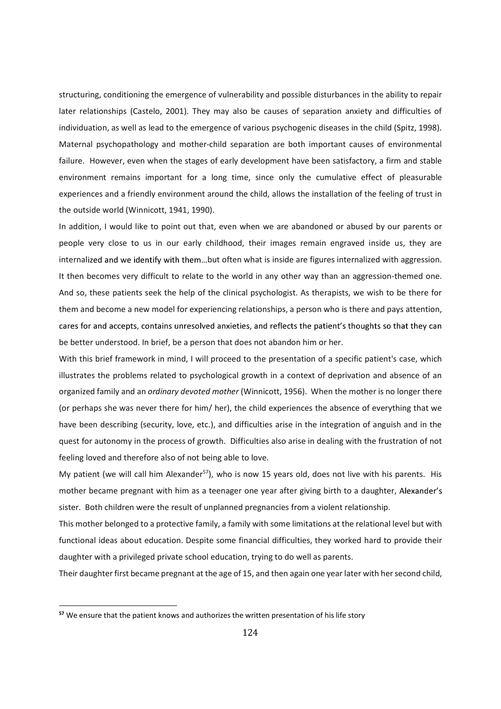structuring, conditioning the emergence of vulnerability and possible disturbances in the ability to repair later relationships (Castelo, 2001). They may also be causes of separation anxiety and difficulties of individuation, as well as lead to the emergence of various psychogenic diseases in the child (Spitz, 1998). Maternal psychopathology and mother-child separation are both important causes of environmental failure. However, even when the stages of early development have been satisfactory, a firm and stable environment remains important for a long time, since only the cumulative effect of pleasurable experiences and a friendly environment around the child, allows the installation of the feeling of trust in the outside world (Winnicott, 1941, 1990).

In addition, I would like to point out that, even when we are abandoned or abused by our parents or people very close to us in our early childhood, their images remain engraved inside us, they are internalized and we identify with them...but often what is inside are figures internalized with aggression. It then becomes very difficult to relate to the world in any other way than an aggression-themed one. And so, these patients seek the help of the clinical psychologist. As therapists, we wish to be there for them and become a new model for experiencing relationships, a person who is there and pays attention, cares for and accepts, contains unresolved anxieties, and reflects the patient's thoughts so that they can be better understood. In brief, be a person that does not abandon him or her.

With this brief framework in mind, I will proceed to the presentation of a specific patient's case, which illustrates the problems related to psychological growth in a context of deprivation and absence of an organized family and an *ordinary devoted mother* (Winnicott, 1956). When the mother is no longer there (or perhaps she was never there for him/ her), the child experiences the absence of everything that we have been describing (security, love, etc.), and difficulties arise in the integration of anguish and in the quest for autonomy in the process of growth. Difficulties also arise in dealing with the frustration of not feeling loved and therefore also of not being able to love.

My patient (we will call him Alexander<sup>57</sup>), who is now 15 years old, does not live with his parents. His mother became pregnant with him as a teenager one year after giving birth to a daughter, Alexander's sister. Both children were the result of unplanned pregnancies from a violent relationship.

This mother belonged to a protective family, a family with some limitations at the relational level but with functional ideas about education. Despite some financial difficulties, they worked hard to provide their daughter with a privileged private school education, trying to do well as parents.

Their daughter first became pregnant at the age of 15, and then again one year later with her second child,

l

<sup>&</sup>lt;sup>57</sup> We ensure that the patient knows and authorizes the written presentation of his life story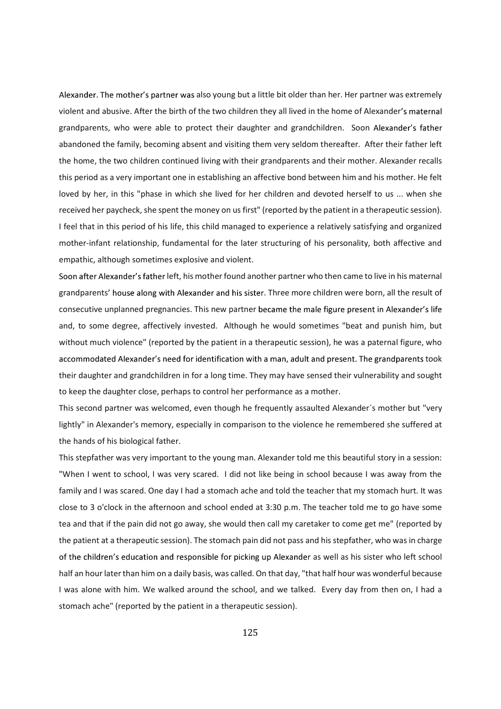Alexander. The mother's partner was also young but a little bit older than her. Her partner was extremely violent and abusive. After the birth of the two children they all lived in the home of Alexander grandparents, who were able to protect their daughter and grandchildren. Soon Alexander's father abandoned the family, becoming absent and visiting them very seldom thereafter. After their father left the home, the two children continued living with their grandparents and their mother. Alexander recalls this period as a very important one in establishing an affective bond between him and his mother. He felt loved by her, in this "phase in which she lived for her children and devoted herself to us ... when she received her paycheck, she spent the money on us first" (reported by the patient in a therapeutic session). I feel that in this period of his life, this child managed to experience a relatively satisfying and organized mother-infant relationship, fundamental for the later structuring of his personality, both affective and empathic, although sometimes explosive and violent.

Soon after Alexander's father left, his mother found another partner who then came to live in his maternal grandparents' house along with Alexander and his sister. Three more children were born, all the result of consecutive unplanned pregnancies. This new partner became the male figure present in Alexander's life and, to some degree, affectively invested. Although he would sometimes "beat and punish him, but without much violence" (reported by the patient in a therapeutic session), he was a paternal figure, who accommodated Alexander's need for identification with a man, adult and present. The grandparents took their daughter and grandchildren in for a long time. They may have sensed their vulnerability and sought to keep the daughter close, perhaps to control her performance as a mother.

This second partner was welcomed, even though he frequently assaulted Alexander´s mother but "very lightly" in Alexander's memory, especially in comparison to the violence he remembered she suffered at the hands of his biological father.

This stepfather was very important to the young man. Alexander told me this beautiful story in a session: "When I went to school, I was very scared. I did not like being in school because I was away from the family and I was scared. One day I had a stomach ache and told the teacher that my stomach hurt. It was close to 3 o'clock in the afternoon and school ended at 3:30 p.m. The teacher told me to go have some tea and that if the pain did not go away, she would then call my caretaker to come get me" (reported by the patient at a therapeutic session). The stomach pain did not pass and his stepfather, who was in charge of the children's education and responsible for picking up Alexander as well as his sister who left school half an hour later than him on a daily basis, was called. On that day, "that half hour was wonderful because I was alone with him. We walked around the school, and we talked. Every day from then on, I had a stomach ache" (reported by the patient in a therapeutic session).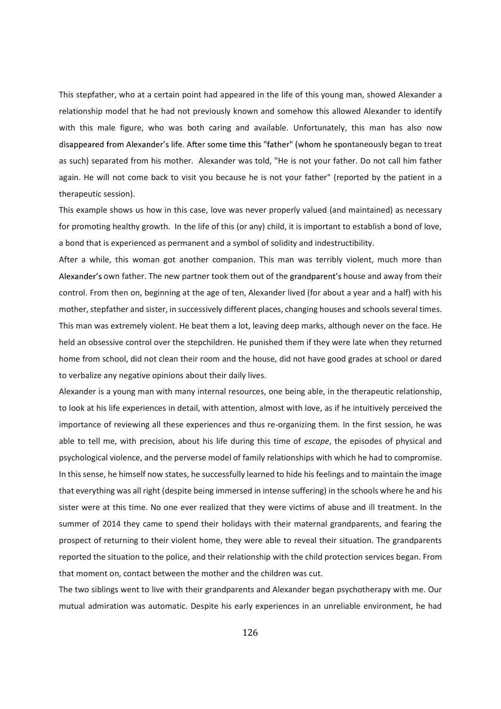This stepfather, who at a certain point had appeared in the life of this young man, showed Alexander a relationship model that he had not previously known and somehow this allowed Alexander to identify with this male figure, who was both caring and available. Unfortunately, this man has also now disappeared from Alexander's life. After some time this "father" (whom he spontaneously began to treat as such) separated from his mother. Alexander was told, "He is not your father. Do not call him father again. He will not come back to visit you because he is not your father" (reported by the patient in a therapeutic session).

This example shows us how in this case, love was never properly valued (and maintained) as necessary for promoting healthy growth. In the life of this (or any) child, it is important to establish a bond of love, a bond that is experienced as permanent and a symbol of solidity and indestructibility.

After a while, this woman got another companion. This man was terribly violent, much more than Alexander's own father. The new partner took them out of the grandparent's house and away from their control. From then on, beginning at the age of ten, Alexander lived (for about a year and a half) with his mother, stepfather and sister, in successively different places, changing houses and schools several times. This man was extremely violent. He beat them a lot, leaving deep marks, although never on the face. He held an obsessive control over the stepchildren. He punished them if they were late when they returned home from school, did not clean their room and the house, did not have good grades at school or dared to verbalize any negative opinions about their daily lives.

Alexander is a young man with many internal resources, one being able, in the therapeutic relationship, to look at his life experiences in detail, with attention, almost with love, as if he intuitively perceived the importance of reviewing all these experiences and thus re-organizing them. In the first session, he was able to tell me, with precision, about his life during this time of escape, the episodes of physical and psychological violence, and the perverse model of family relationships with which he had to compromise. In this sense, he himself now states, he successfully learned to hide his feelings and to maintain the image that everything was all right (despite being immersed in intense suffering) in the schools where he and his sister were at this time. No one ever realized that they were victims of abuse and ill treatment. In the summer of 2014 they came to spend their holidays with their maternal grandparents, and fearing the prospect of returning to their violent home, they were able to reveal their situation. The grandparents reported the situation to the police, and their relationship with the child protection services began. From that moment on, contact between the mother and the children was cut.

The two siblings went to live with their grandparents and Alexander began psychotherapy with me. Our mutual admiration was automatic. Despite his early experiences in an unreliable environment, he had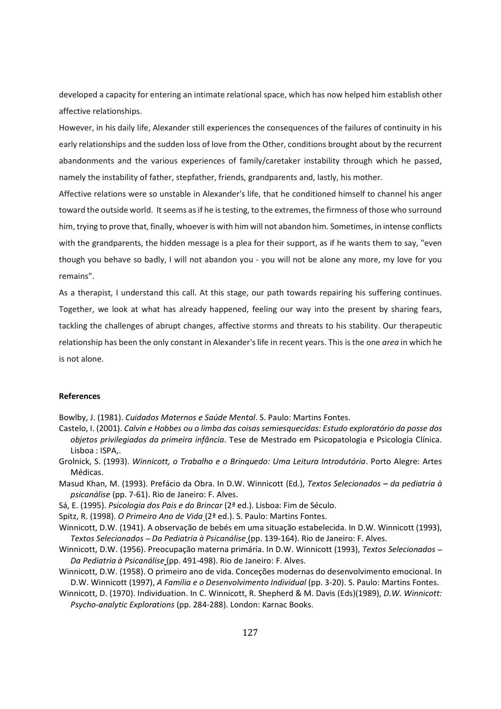developed a capacity for entering an intimate relational space, which has now helped him establish other affective relationships.

However, in his daily life, Alexander still experiences the consequences of the failures of continuity in his early relationships and the sudden loss of love from the Other, conditions brought about by the recurrent abandonments and the various experiences of family/caretaker instability through which he passed, namely the instability of father, stepfather, friends, grandparents and, lastly, his mother.

Affective relations were so unstable in Alexander's life, that he conditioned himself to channel his anger toward the outside world. It seems as if he is testing, to the extremes, the firmness of those who surround him, trying to prove that, finally, whoever is with him will not abandon him. Sometimes, in intense conflicts with the grandparents, the hidden message is a plea for their support, as if he wants them to say, "even though you behave so badly, I will not abandon you - you will not be alone any more, my love for you remains".

As a therapist, I understand this call. At this stage, our path towards repairing his suffering continues. Together, we look at what has already happened, feeling our way into the present by sharing fears, tackling the challenges of abrupt changes, affective storms and threats to his stability. Our therapeutic relationship has been the only constant in Alexander's life in recent years. This is the one area in which he is not alone.

## References

Bowlby, J. (1981). Cuidados Maternos e Saúde Mental. S. Paulo: Martins Fontes.

- Castelo, I. (2001). Calvin e Hobbes ou o limbo das coisas semiesquecidas: Estudo exploratório da posse dos objetos privilegiados da primeira infância. Tese de Mestrado em Psicopatologia e Psicologia Clínica. Lisboa : ISPA,.
- Grolnick, S. (1993). Winnicott, o Trabalho e o Brinquedo: Uma Leitura Introdutória. Porto Alegre: Artes Médicas.
- Masud Khan, M. (1993). Prefácio da Obra. In D.W. Winnicott (Ed.), Textos Selecionados da pediatria à psicanálise (pp. 7-61). Rio de Janeiro: F. Alves.
- Sá, E. (1995). Psicologia dos Pais e do Brincar (2ª ed.). Lisboa: Fim de Século.

Spitz, R. (1998). O Primeiro Ano de Vida (2ª ed.). S. Paulo: Martins Fontes.

- Winnicott, D.W. (1941). A observação de bebés em uma situação estabelecida. In D.W. Winnicott (1993), Textos Selecionados - Da Pediatria à Psicanálise (pp. 139-164). Rio de Janeiro: F. Alves.
- Winnicott, D.W. (1956). Preocupação materna primária. In D.W. Winnicott (1993), Textos Selecionados -Da Pediatria à Psicanálise (pp. 491-498). Rio de Janeiro: F. Alves.
- Winnicott, D.W. (1958). O primeiro ano de vida. Conceções modernas do desenvolvimento emocional. In D.W. Winnicott (1997), A Família e o Desenvolvimento Individual (pp. 3-20). S. Paulo: Martins Fontes.
- Winnicott, D. (1970). Individuation. In C. Winnicott, R. Shepherd & M. Davis (Eds)(1989), D.W. Winnicott: Psycho-analytic Explorations (pp. 284-288). London: Karnac Books.